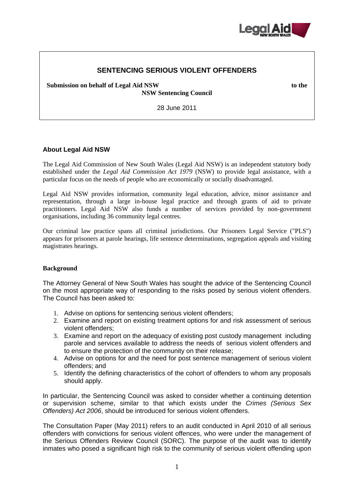

# **SENTENCING SERIOUS VIOLENT OFFENDERS**

**Submission on behalf of Legal Aid NSW to the** 

**NSW Sentencing Council** 

28 June 2011

## **About Legal Aid NSW**

The Legal Aid Commission of New South Wales (Legal Aid NSW) is an independent statutory body established under the *Legal Aid Commission Act 1979* (NSW) to provide legal assistance, with a particular focus on the needs of people who are economically or socially disadvantaged.

Legal Aid NSW provides information, community legal education, advice, minor assistance and representation, through a large in-house legal practice and through grants of aid to private practitioners. Legal Aid NSW also funds a number of services provided by non-government organisations, including 36 community legal centres.

Our criminal law practice spans all criminal jurisdictions. Our Prisoners Legal Service ("PLS") appears for prisoners at parole hearings, life sentence determinations, segregation appeals and visiting magistrates hearings.

### **Background**

The Attorney General of New South Wales has sought the advice of the Sentencing Council on the most appropriate way of responding to the risks posed by serious violent offenders. The Council has been asked to:

- 1. Advise on options for sentencing serious violent offenders;
- 2. Examine and report on existing treatment options for and risk assessment of serious violent offenders;
- 3. Examine and report on the adequacy of existing post custody management including parole and services available to address the needs of serious violent offenders and to ensure the protection of the community on their release;
- 4. Advise on options for and the need for post sentence management of serious violent offenders; and
- 5. Identify the defining characteristics of the cohort of offenders to whom any proposals should apply.

In particular, the Sentencing Council was asked to consider whether a continuing detention or supervision scheme, similar to that which exists under the *Crimes (Serious Sex Offenders) Act 2006*, should be introduced for serious violent offenders.

The Consultation Paper (May 2011) refers to an audit conducted in April 2010 of all serious offenders with convictions for serious violent offences, who were under the management of the Serious Offenders Review Council (SORC). The purpose of the audit was to identify inmates who posed a significant high risk to the community of serious violent offending upon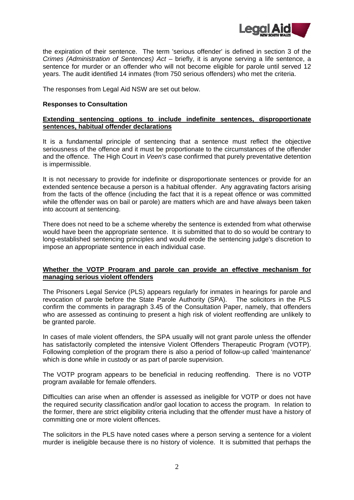

the expiration of their sentence. The term 'serious offender' is defined in section 3 of the *Crimes (Administration of Sentences) Act – briefly, it is anyone serving a life sentence, a* sentence for murder or an offender who will not become eligible for parole until served 12 years. The audit identified 14 inmates (from 750 serious offenders) who met the criteria.

The responses from Legal Aid NSW are set out below.

## **Responses to Consultation**

## **Extending sentencing options to include indefinite sentences, disproportionate sentences, habitual offender declarations**

It is a fundamental principle of sentencing that a sentence must reflect the objective seriousness of the offence and it must be proportionate to the circumstances of the offender and the offence. The High Court in *Veen's* case confirmed that purely preventative detention is impermissible.

It is not necessary to provide for indefinite or disproportionate sentences or provide for an extended sentence because a person is a habitual offender. Any aggravating factors arising from the facts of the offence (including the fact that it is a repeat offence or was committed while the offender was on bail or parole) are matters which are and have always been taken into account at sentencing.

There does not need to be a scheme whereby the sentence is extended from what otherwise would have been the appropriate sentence. It is submitted that to do so would be contrary to long-established sentencing principles and would erode the sentencing judge's discretion to impose an appropriate sentence in each individual case.

# **Whether the VOTP Program and parole can provide an effective mechanism for managing serious violent offenders**

The Prisoners Legal Service (PLS) appears regularly for inmates in hearings for parole and revocation of parole before the State Parole Authority (SPA). The solicitors in the PLS confirm the comments in paragraph 3.45 of the Consultation Paper, namely, that offenders who are assessed as continuing to present a high risk of violent reoffending are unlikely to be granted parole.

In cases of male violent offenders, the SPA usually will not grant parole unless the offender has satisfactorily completed the intensive Violent Offenders Therapeutic Program (VOTP). Following completion of the program there is also a period of follow-up called 'maintenance' which is done while in custody or as part of parole supervision.

The VOTP program appears to be beneficial in reducing reoffending. There is no VOTP program available for female offenders.

Difficulties can arise when an offender is assessed as ineligible for VOTP or does not have the required security classification and/or gaol location to access the program. In relation to the former, there are strict eligibility criteria including that the offender must have a history of committing one or more violent offences.

The solicitors in the PLS have noted cases where a person serving a sentence for a violent murder is ineligible because there is no history of violence. It is submitted that perhaps the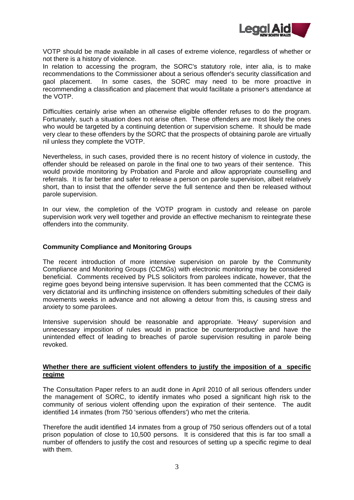

VOTP should be made available in all cases of extreme violence, regardless of whether or not there is a history of violence.

In relation to accessing the program, the SORC's statutory role, inter alia, is to make recommendations to the Commissioner about a serious offender's security classification and gaol placement. In some cases, the SORC may need to be more proactive in recommending a classification and placement that would facilitate a prisoner's attendance at the VOTP.

Difficulties certainly arise when an otherwise eligible offender refuses to do the program. Fortunately, such a situation does not arise often. These offenders are most likely the ones who would be targeted by a continuing detention or supervision scheme. It should be made very clear to these offenders by the SORC that the prospects of obtaining parole are virtually nil unless they complete the VOTP.

Nevertheless, in such cases, provided there is no recent history of violence in custody, the offender should be released on parole in the final one to two years of their sentence. This would provide monitoring by Probation and Parole and allow appropriate counselling and referrals. It is far better and safer to release a person on parole supervision, albeit relatively short, than to insist that the offender serve the full sentence and then be released without parole supervision.

In our view, the completion of the VOTP program in custody and release on parole supervision work very well together and provide an effective mechanism to reintegrate these offenders into the community.

#### **Community Compliance and Monitoring Groups**

The recent introduction of more intensive supervision on parole by the Community Compliance and Monitoring Groups (CCMGs) with electronic monitoring may be considered beneficial. Comments received by PLS solicitors from parolees indicate, however, that the regime goes beyond being intensive supervision. It has been commented that the CCMG is very dictatorial and its unflinching insistence on offenders submitting schedules of their daily movements weeks in advance and not allowing a detour from this, is causing stress and anxiety to some parolees.

Intensive supervision should be reasonable and appropriate. 'Heavy' supervision and unnecessary imposition of rules would in practice be counterproductive and have the unintended effect of leading to breaches of parole supervision resulting in parole being revoked.

## **Whether there are sufficient violent offenders to justify the imposition of a specific regime**

The Consultation Paper refers to an audit done in April 2010 of all serious offenders under the management of SORC, to identify inmates who posed a significant high risk to the community of serious violent offending upon the expiration of their sentence. The audit identified 14 inmates (from 750 'serious offenders') who met the criteria.

Therefore the audit identified 14 inmates from a group of 750 serious offenders out of a total prison population of close to 10,500 persons. It is considered that this is far too small a number of offenders to justify the cost and resources of setting up a specific regime to deal with them.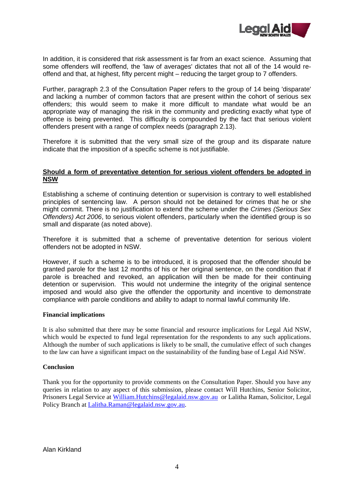

In addition, it is considered that risk assessment is far from an exact science. Assuming that some offenders will reoffend, the 'law of averages' dictates that not all of the 14 would reoffend and that, at highest, fifty percent might – reducing the target group to 7 offenders.

Further, paragraph 2.3 of the Consultation Paper refers to the group of 14 being 'disparate' and lacking a number of common factors that are present within the cohort of serious sex offenders; this would seem to make it more difficult to mandate what would be an appropriate way of managing the risk in the community and predicting exactly what type of offence is being prevented. This difficulty is compounded by the fact that serious violent offenders present with a range of complex needs (paragraph 2.13).

Therefore it is submitted that the very small size of the group and its disparate nature indicate that the imposition of a specific scheme is not justifiable.

## **Should a form of preventative detention for serious violent offenders be adopted in NSW**

Establishing a scheme of continuing detention or supervision is contrary to well established principles of sentencing law. A person should not be detained for crimes that he or she might commit. There is no justification to extend the scheme under the *Crimes (Serious Sex Offenders) Act 2006*, to serious violent offenders, particularly when the identified group is so small and disparate (as noted above).

Therefore it is submitted that a scheme of preventative detention for serious violent offenders not be adopted in NSW.

However, if such a scheme is to be introduced, it is proposed that the offender should be granted parole for the last 12 months of his or her original sentence, on the condition that if parole is breached and revoked, an application will then be made for their continuing detention or supervision. This would not undermine the integrity of the original sentence imposed and would also give the offender the opportunity and incentive to demonstrate compliance with parole conditions and ability to adapt to normal lawful community life.

### **Financial implications**

It is also submitted that there may be some financial and resource implications for Legal Aid NSW, which would be expected to fund legal representation for the respondents to any such applications. Although the number of such applications is likely to be small, the cumulative effect of such changes to the law can have a significant impact on the sustainability of the funding base of Legal Aid NSW.

### **Conclusion**

Thank you for the opportunity to provide comments on the Consultation Paper. Should you have any queries in relation to any aspect of this submission, please contact Will Hutchins, Senior Solicitor, Prisoners Legal Service at William.Hutchins@legalaid.nsw.gov.au or Lalitha Raman, Solicitor, Legal Policy Branch at Lalitha.Raman@legalaid.nsw.gov.au.